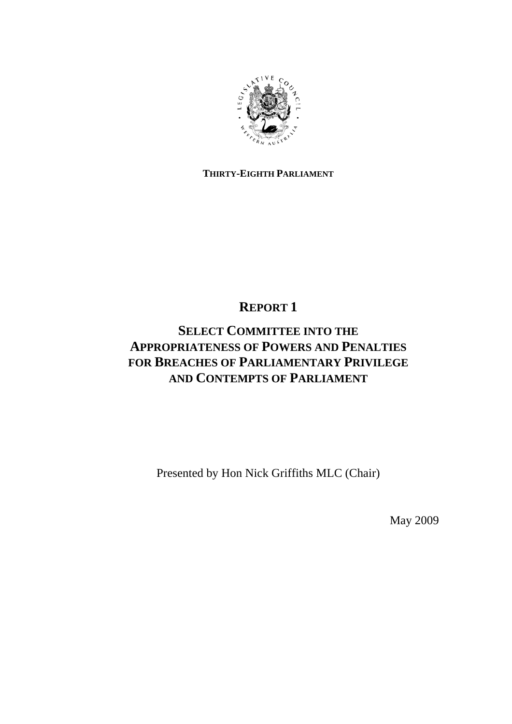

### **THIRTY-EIGHTH PARLIAMENT**

## **REPORT 1**

# **SELECT COMMITTEE INTO THE APPROPRIATENESS OF POWERS AND PENALTIES FOR BREACHES OF PARLIAMENTARY PRIVILEGE AND CONTEMPTS OF PARLIAMENT**

Presented by Hon Nick Griffiths MLC (Chair)

May 2009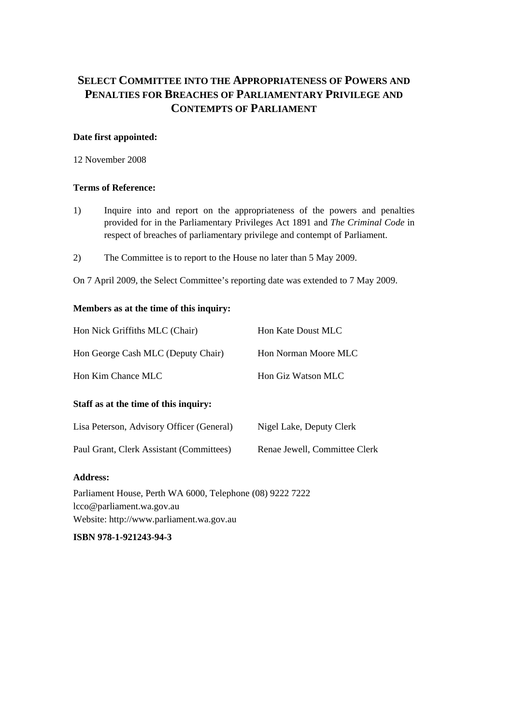## **SELECT COMMITTEE INTO THE APPROPRIATENESS OF POWERS AND PENALTIES FOR BREACHES OF PARLIAMENTARY PRIVILEGE AND CONTEMPTS OF PARLIAMENT**

#### **Date first appointed:**

12 November 2008

#### **Terms of Reference:**

- 1) Inquire into and report on the appropriateness of the powers and penalties provided for in the Parliamentary Privileges Act 1891 and *The Criminal Code* in respect of breaches of parliamentary privilege and contempt of Parliament.
- 2) The Committee is to report to the House no later than 5 May 2009.

On 7 April 2009, the Select Committee's reporting date was extended to 7 May 2009.

#### **Members as at the time of this inquiry:**

| Hon Nick Griffiths MLC (Chair)                            | Hon Kate Doust MLC            |
|-----------------------------------------------------------|-------------------------------|
| Hon George Cash MLC (Deputy Chair)                        | Hon Norman Moore MLC          |
| Hon Kim Chance MLC                                        | Hon Giz Watson MLC            |
| Staff as at the time of this inquiry:                     |                               |
| Lisa Peterson, Advisory Officer (General)                 | Nigel Lake, Deputy Clerk      |
| Paul Grant, Clerk Assistant (Committees)                  | Renae Jewell, Committee Clerk |
| <b>Address:</b>                                           |                               |
| Parliament House, Perth WA 6000, Telephone (08) 9222 7222 |                               |

 $\sigma$ , relephone (08) lcco@parliament.wa.gov.au Website: http://www.parliament.wa.gov.au

**ISBN 978-1-921243-94-3**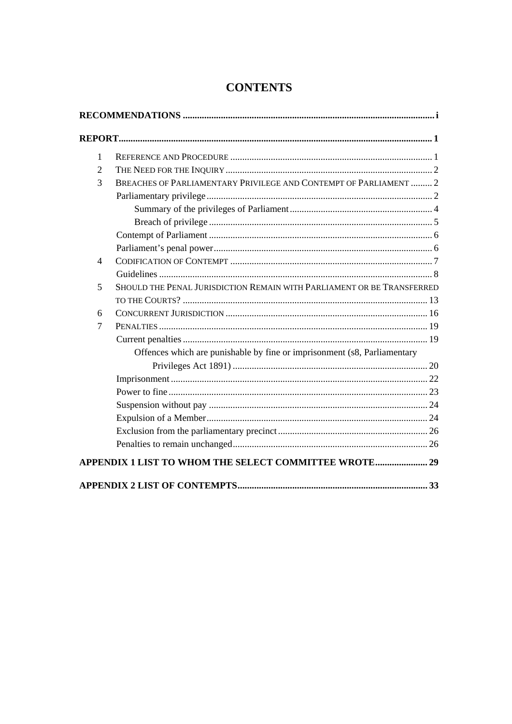| $\mathbf{1}$<br>$\overline{2}$<br>3 |                                                                          |  |
|-------------------------------------|--------------------------------------------------------------------------|--|
|                                     |                                                                          |  |
|                                     |                                                                          |  |
|                                     | BREACHES OF PARLIAMENTARY PRIVILEGE AND CONTEMPT OF PARLIAMENT  2        |  |
|                                     |                                                                          |  |
|                                     |                                                                          |  |
|                                     |                                                                          |  |
|                                     |                                                                          |  |
|                                     |                                                                          |  |
| $\overline{4}$                      |                                                                          |  |
|                                     |                                                                          |  |
| 5                                   | SHOULD THE PENAL JURISDICTION REMAIN WITH PARLIAMENT OR BE TRANSFERRED   |  |
|                                     |                                                                          |  |
| 6                                   |                                                                          |  |
| $\overline{7}$                      |                                                                          |  |
|                                     |                                                                          |  |
|                                     | Offences which are punishable by fine or imprisonment (s8, Parliamentary |  |
|                                     |                                                                          |  |
|                                     |                                                                          |  |
|                                     |                                                                          |  |
|                                     |                                                                          |  |
|                                     |                                                                          |  |
|                                     |                                                                          |  |
|                                     |                                                                          |  |
|                                     | APPENDIX 1 LIST TO WHOM THE SELECT COMMITTEE WROTE 29                    |  |

## **CONTENTS**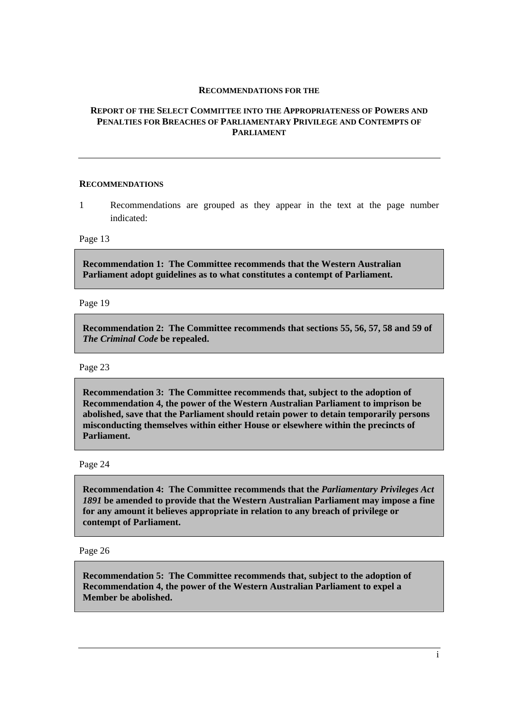#### **RECOMMENDATIONS FOR THE**

#### **REPORT OF THE SELECT COMMITTEE INTO THE APPROPRIATENESS OF POWERS AND PENALTIES FOR BREACHES OF PARLIAMENTARY PRIVILEGE AND CONTEMPTS OF PARLIAMENT**

#### **RECOMMENDATIONS**

1 Recommendations are grouped as they appear in the text at the page number indicated:

Page 13

**Recommendation 1: The Committee recommends that the Western Australian Parliament adopt guidelines as to what constitutes a contempt of Parliament.** 

Page 19

**Recommendation 2: The Committee recommends that sections 55, 56, 57, 58 and 59 of**  *The Criminal Code* **be repealed.** 

Page 23

**Recommendation 3: The Committee recommends that, subject to the adoption of Recommendation 4, the power of the Western Australian Parliament to imprison be abolished, save that the Parliament should retain power to detain temporarily persons misconducting themselves within either House or elsewhere within the precincts of Parliament.** 

Page 24

**Recommendation 4: The Committee recommends that the** *Parliamentary Privileges Act 1891* **be amended to provide that the Western Australian Parliament may impose a fine for any amount it believes appropriate in relation to any breach of privilege or contempt of Parliament.** 

Page 26

**Recommendation 5: The Committee recommends that, subject to the adoption of Recommendation 4, the power of the Western Australian Parliament to expel a Member be abolished.**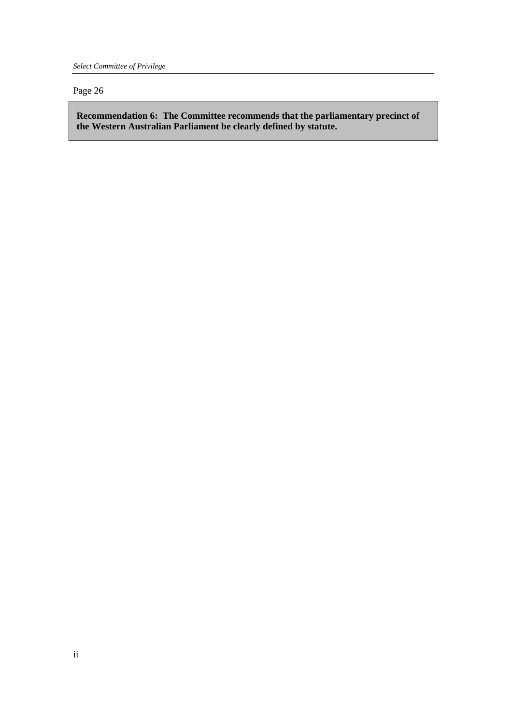*Select Committee of Privilege* 

#### Page 26

**Recommendation 6: The Committee recommends that the parliamentary precinct of the Western Australian Parliament be clearly defined by statute.**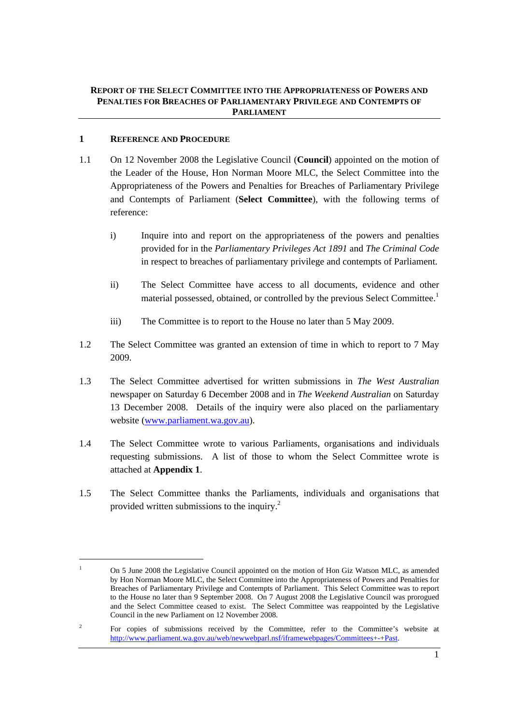#### **REPORT OF THE SELECT COMMITTEE INTO THE APPROPRIATENESS OF POWERS AND PENALTIES FOR BREACHES OF PARLIAMENTARY PRIVILEGE AND CONTEMPTS OF PARLIAMENT**

#### **1 REFERENCE AND PROCEDURE**

- 1.1 On 12 November 2008 the Legislative Council (**Council**) appointed on the motion of the Leader of the House, Hon Norman Moore MLC, the Select Committee into the Appropriateness of the Powers and Penalties for Breaches of Parliamentary Privilege and Contempts of Parliament (**Select Committee**), with the following terms of reference:
	- i) Inquire into and report on the appropriateness of the powers and penalties provided for in the *Parliamentary Privileges Act 1891* and *The Criminal Code*  in respect to breaches of parliamentary privilege and contempts of Parliament.
	- ii) The Select Committee have access to all documents, evidence and other material possessed, obtained, or controlled by the previous Select Committee.<sup>1</sup>
	- iii) The Committee is to report to the House no later than 5 May 2009.
- 1.2 The Select Committee was granted an extension of time in which to report to 7 May 2009.
- 1.3 The Select Committee advertised for written submissions in *The West Australian*  newspaper on Saturday 6 December 2008 and in *The Weekend Australian* on Saturday 13 December 2008. Details of the inquiry were also placed on the parliamentary website (www.parliament.wa.gov.au).
- 1.4 The Select Committee wrote to various Parliaments, organisations and individuals requesting submissions. A list of those to whom the Select Committee wrote is attached at **Appendix 1**.
- 1.5 The Select Committee thanks the Parliaments, individuals and organisations that provided written submissions to the inquiry.<sup>2</sup>

<sup>1</sup> On 5 June 2008 the Legislative Council appointed on the motion of Hon Giz Watson MLC, as amended by Hon Norman Moore MLC, the Select Committee into the Appropriateness of Powers and Penalties for Breaches of Parliamentary Privilege and Contempts of Parliament. This Select Committee was to report to the House no later than 9 September 2008. On 7 August 2008 the Legislative Council was prorogued and the Select Committee ceased to exist. The Select Committee was reappointed by the Legislative Council in the new Parliament on 12 November 2008.

<sup>2</sup> For copies of submissions received by the Committee, refer to the Committee's website at http://www.parliament.wa.gov.au/web/newwebparl.nsf/iframewebpages/Committees+-+Past.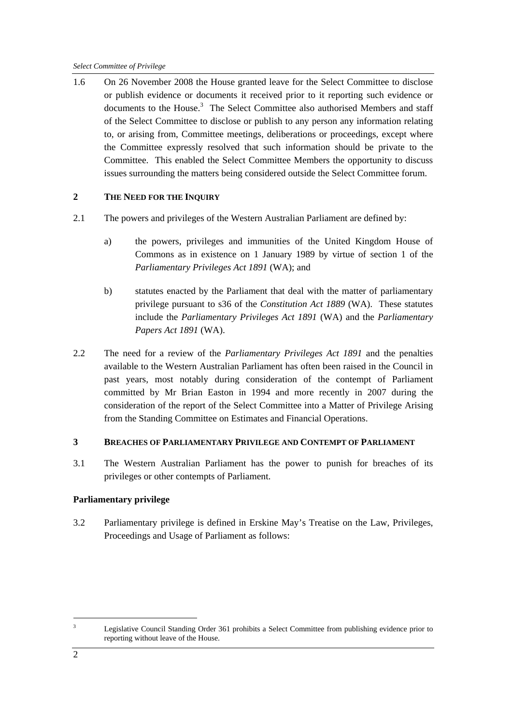1.6 On 26 November 2008 the House granted leave for the Select Committee to disclose or publish evidence or documents it received prior to it reporting such evidence or documents to the House.<sup>3</sup> The Select Committee also authorised Members and staff of the Select Committee to disclose or publish to any person any information relating to, or arising from, Committee meetings, deliberations or proceedings, except where the Committee expressly resolved that such information should be private to the Committee. This enabled the Select Committee Members the opportunity to discuss issues surrounding the matters being considered outside the Select Committee forum.

#### **2 THE NEED FOR THE INQUIRY**

- 2.1 The powers and privileges of the Western Australian Parliament are defined by:
	- a) the powers, privileges and immunities of the United Kingdom House of Commons as in existence on 1 January 1989 by virtue of section 1 of the *Parliamentary Privileges Act 1891* (WA); and
	- b) statutes enacted by the Parliament that deal with the matter of parliamentary privilege pursuant to s36 of the *Constitution Act 1889* (WA). These statutes include the *Parliamentary Privileges Act 1891* (WA) and the *Parliamentary Papers Act 1891* (WA).
- 2.2 The need for a review of the *Parliamentary Privileges Act 1891* and the penalties available to the Western Australian Parliament has often been raised in the Council in past years, most notably during consideration of the contempt of Parliament committed by Mr Brian Easton in 1994 and more recently in 2007 during the consideration of the report of the Select Committee into a Matter of Privilege Arising from the Standing Committee on Estimates and Financial Operations.

#### **3 BREACHES OF PARLIAMENTARY PRIVILEGE AND CONTEMPT OF PARLIAMENT**

3.1 The Western Australian Parliament has the power to punish for breaches of its privileges or other contempts of Parliament.

#### **Parliamentary privilege**

3.2 Parliamentary privilege is defined in Erskine May's Treatise on the Law, Privileges, Proceedings and Usage of Parliament as follows:

<sup>3</sup> Legislative Council Standing Order 361 prohibits a Select Committee from publishing evidence prior to reporting without leave of the House.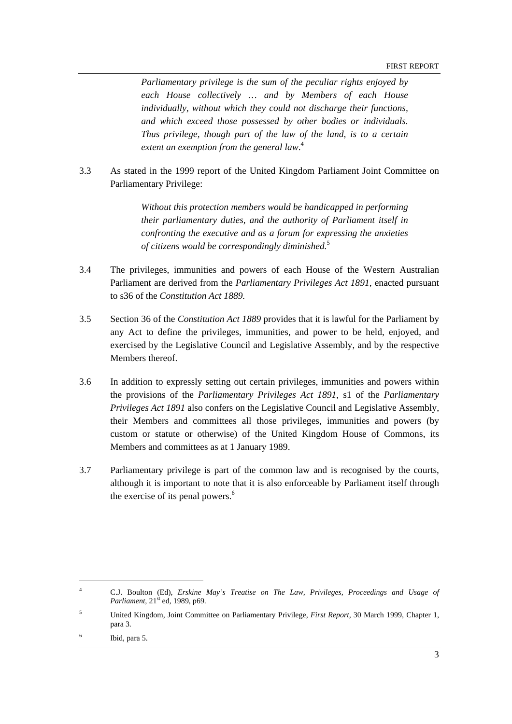*Parliamentary privilege is the sum of the peculiar rights enjoyed by each House collectively … and by Members of each House individually, without which they could not discharge their functions, and which exceed those possessed by other bodies or individuals. Thus privilege, though part of the law of the land, is to a certain extent an exemption from the general law*. 4

3.3 As stated in the 1999 report of the United Kingdom Parliament Joint Committee on Parliamentary Privilege:

> *Without this protection members would be handicapped in performing their parliamentary duties, and the authority of Parliament itself in confronting the executive and as a forum for expressing the anxieties of citizens would be correspondingly diminished.*<sup>5</sup>

- 3.4 The privileges, immunities and powers of each House of the Western Australian Parliament are derived from the *Parliamentary Privileges Act 1891*, enacted pursuant to s36 of the *Constitution Act 1889.*
- 3.5 Section 36 of the *Constitution Act 1889* provides that it is lawful for the Parliament by any Act to define the privileges, immunities, and power to be held, enjoyed, and exercised by the Legislative Council and Legislative Assembly, and by the respective Members thereof.
- 3.6 In addition to expressly setting out certain privileges, immunities and powers within the provisions of the *Parliamentary Privileges Act 1891*, s1 of the *Parliamentary Privileges Act 1891* also confers on the Legislative Council and Legislative Assembly, their Members and committees all those privileges, immunities and powers (by custom or statute or otherwise) of the United Kingdom House of Commons, its Members and committees as at 1 January 1989.
- 3.7 Parliamentary privilege is part of the common law and is recognised by the courts, although it is important to note that it is also enforceable by Parliament itself through the exercise of its penal powers.<sup>6</sup>

<sup>4</sup> C.J. Boulton (Ed), *Erskine May's Treatise on The Law, Privileges, Proceedings and Usage of Parliament*,  $21<sup>st</sup>$  ed, 1989, p69.

<sup>5</sup> United Kingdom, Joint Committee on Parliamentary Privilege, *First Report,* 30 March 1999, Chapter 1, para 3.

<sup>6</sup> Ibid, para 5.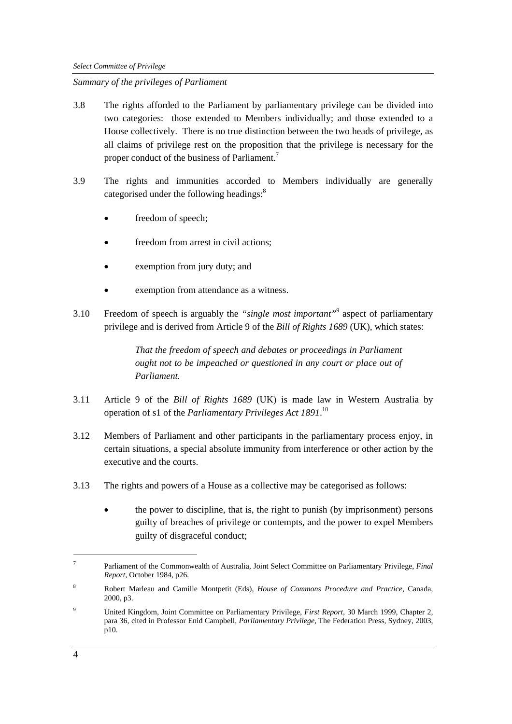#### *Summary of the privileges of Parliament*

- 3.8 The rights afforded to the Parliament by parliamentary privilege can be divided into two categories: those extended to Members individually; and those extended to a House collectively. There is no true distinction between the two heads of privilege, as all claims of privilege rest on the proposition that the privilege is necessary for the proper conduct of the business of Parliament.<sup>7</sup>
- 3.9 The rights and immunities accorded to Members individually are generally categorised under the following headings:<sup>8</sup>
	- freedom of speech;
	- freedom from arrest in civil actions;
	- exemption from jury duty; and
	- exemption from attendance as a witness.
- 3.10 Freedom of speech is arguably the *"single most important"*<sup>9</sup> aspect of parliamentary privilege and is derived from Article 9 of the *Bill of Rights 1689* (UK), which states:

*That the freedom of speech and debates or proceedings in Parliament ought not to be impeached or questioned in any court or place out of Parliament.* 

- 3.11 Article 9 of the *Bill of Rights 1689* (UK) is made law in Western Australia by operation of s1 of the *Parliamentary Privileges Act 1891*. 10
- 3.12 Members of Parliament and other participants in the parliamentary process enjoy, in certain situations, a special absolute immunity from interference or other action by the executive and the courts.
- 3.13 The rights and powers of a House as a collective may be categorised as follows:
	- the power to discipline, that is, the right to punish (by imprisonment) persons guilty of breaches of privilege or contempts, and the power to expel Members guilty of disgraceful conduct;

<sup>7</sup> Parliament of the Commonwealth of Australia, Joint Select Committee on Parliamentary Privilege, *Final Report*, October 1984, p26.

<sup>8</sup> Robert Marleau and Camille Montpetit (Eds), *House of Commons Procedure and Practice*, Canada, 2000, p3.

<sup>9</sup> United Kingdom, Joint Committee on Parliamentary Privilege, *First Report*, 30 March 1999, Chapter 2, para 36, cited in Professor Enid Campbell, *Parliamentary Privilege*, The Federation Press, Sydney, 2003, p10.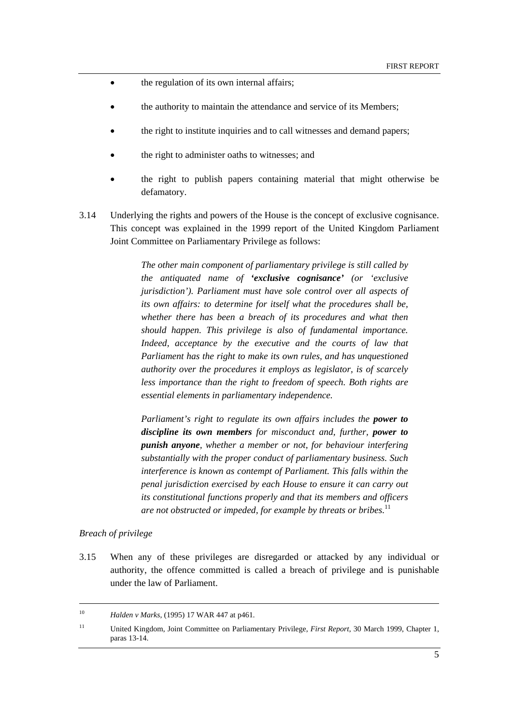- the regulation of its own internal affairs;
- the authority to maintain the attendance and service of its Members;
- the right to institute inquiries and to call witnesses and demand papers;
- the right to administer oaths to witnesses; and
- the right to publish papers containing material that might otherwise be defamatory.
- 3.14 Underlying the rights and powers of the House is the concept of exclusive cognisance. This concept was explained in the 1999 report of the United Kingdom Parliament Joint Committee on Parliamentary Privilege as follows:

*The other main component of parliamentary privilege is still called by the antiquated name of 'exclusive cognisance' (or 'exclusive jurisdiction'). Parliament must have sole control over all aspects of its own affairs: to determine for itself what the procedures shall be, whether there has been a breach of its procedures and what then should happen. This privilege is also of fundamental importance. Indeed, acceptance by the executive and the courts of law that Parliament has the right to make its own rules, and has unquestioned authority over the procedures it employs as legislator, is of scarcely less importance than the right to freedom of speech. Both rights are essential elements in parliamentary independence.* 

*Parliament's right to regulate its own affairs includes the power to discipline its own members for misconduct and, further, power to punish anyone, whether a member or not, for behaviour interfering substantially with the proper conduct of parliamentary business. Such interference is known as contempt of Parliament. This falls within the penal jurisdiction exercised by each House to ensure it can carry out its constitutional functions properly and that its members and officers are not obstructed or impeded, for example by threats or bribes.*<sup>11</sup>

#### *Breach of privilege*

3.15 When any of these privileges are disregarded or attacked by any individual or authority, the offence committed is called a breach of privilege and is punishable under the law of Parliament.

 <sup>10</sup> *Halden v Marks,* (1995) 17 WAR 447 at p461.

<sup>11</sup> United Kingdom, Joint Committee on Parliamentary Privilege, *First Report*, 30 March 1999, Chapter 1, paras 13-14.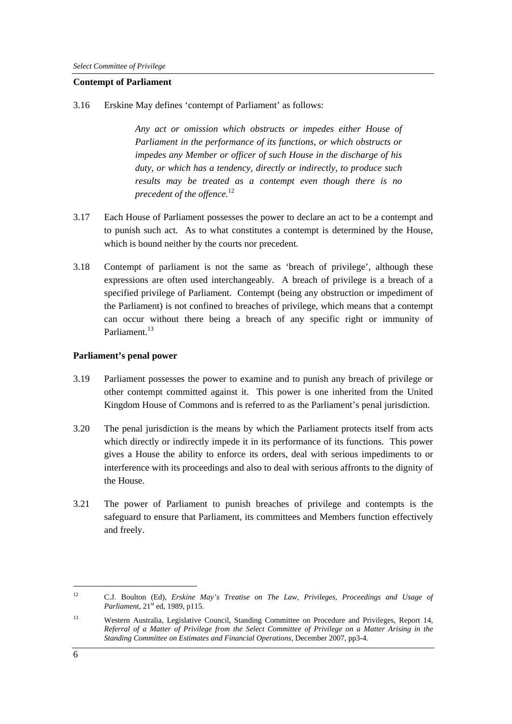#### **Contempt of Parliament**

3.16 Erskine May defines 'contempt of Parliament' as follows:

*Any act or omission which obstructs or impedes either House of Parliament in the performance of its functions, or which obstructs or impedes any Member or officer of such House in the discharge of his duty, or which has a tendency, directly or indirectly, to produce such results may be treated as a contempt even though there is no precedent of the offence.*<sup>12</sup>

- 3.17 Each House of Parliament possesses the power to declare an act to be a contempt and to punish such act. As to what constitutes a contempt is determined by the House, which is bound neither by the courts nor precedent.
- 3.18 Contempt of parliament is not the same as 'breach of privilege', although these expressions are often used interchangeably. A breach of privilege is a breach of a specified privilege of Parliament. Contempt (being any obstruction or impediment of the Parliament) is not confined to breaches of privilege, which means that a contempt can occur without there being a breach of any specific right or immunity of Parliament<sup>13</sup>

#### **Parliament's penal power**

- 3.19 Parliament possesses the power to examine and to punish any breach of privilege or other contempt committed against it. This power is one inherited from the United Kingdom House of Commons and is referred to as the Parliament's penal jurisdiction.
- 3.20 The penal jurisdiction is the means by which the Parliament protects itself from acts which directly or indirectly impede it in its performance of its functions. This power gives a House the ability to enforce its orders, deal with serious impediments to or interference with its proceedings and also to deal with serious affronts to the dignity of the House.
- 3.21 The power of Parliament to punish breaches of privilege and contempts is the safeguard to ensure that Parliament, its committees and Members function effectively and freely.

<sup>12</sup> C.J. Boulton (Ed), *Erskine May's Treatise on The Law, Privileges, Proceedings and Usage of Parliament*,  $21^{st}$  ed, 1989, p115.

<sup>13</sup> Western Australia, Legislative Council, Standing Committee on Procedure and Privileges, Report 14, *Referral of a Matter of Privilege from the Select Committee of Privilege on a Matter Arising in the Standing Committee on Estimates and Financial Operations,* December 2007, pp3-4.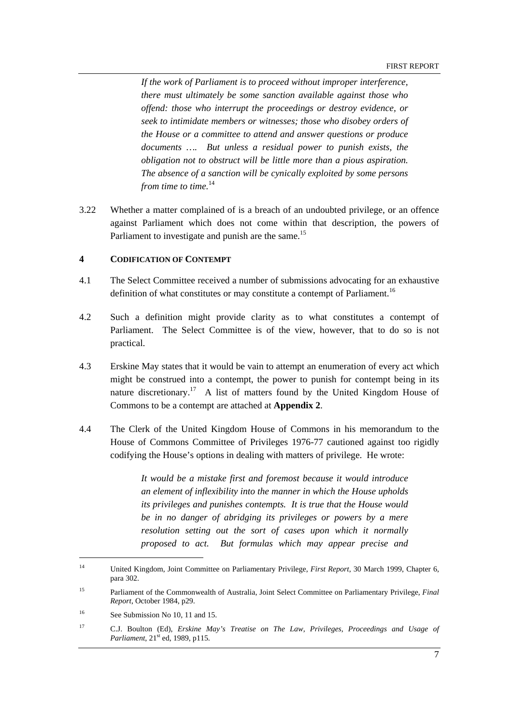*If the work of Parliament is to proceed without improper interference, there must ultimately be some sanction available against those who offend: those who interrupt the proceedings or destroy evidence, or seek to intimidate members or witnesses; those who disobey orders of the House or a committee to attend and answer questions or produce documents …. But unless a residual power to punish exists, the obligation not to obstruct will be little more than a pious aspiration. The absence of a sanction will be cynically exploited by some persons from time to time.*<sup>14</sup>

3.22 Whether a matter complained of is a breach of an undoubted privilege, or an offence against Parliament which does not come within that description, the powers of Parliament to investigate and punish are the same.<sup>15</sup>

#### **4 CODIFICATION OF CONTEMPT**

- 4.1 The Select Committee received a number of submissions advocating for an exhaustive definition of what constitutes or may constitute a contempt of Parliament.<sup>16</sup>
- 4.2 Such a definition might provide clarity as to what constitutes a contempt of Parliament. The Select Committee is of the view, however, that to do so is not practical.
- 4.3 Erskine May states that it would be vain to attempt an enumeration of every act which might be construed into a contempt, the power to punish for contempt being in its nature discretionary.<sup>17</sup> A list of matters found by the United Kingdom House of Commons to be a contempt are attached at **Appendix 2**.
- 4.4 The Clerk of the United Kingdom House of Commons in his memorandum to the House of Commons Committee of Privileges 1976-77 cautioned against too rigidly codifying the House's options in dealing with matters of privilege. He wrote:

*It would be a mistake first and foremost because it would introduce an element of inflexibility into the manner in which the House upholds its privileges and punishes contempts. It is true that the House would be in no danger of abridging its privileges or powers by a mere resolution setting out the sort of cases upon which it normally proposed to act. But formulas which may appear precise and* 

<sup>14</sup> United Kingdom, Joint Committee on Parliamentary Privilege, *First Report*, 30 March 1999, Chapter 6, para 302.

<sup>15</sup> Parliament of the Commonwealth of Australia, Joint Select Committee on Parliamentary Privilege, *Final Report*, October 1984, p29.

<sup>&</sup>lt;sup>16</sup> See Submission No 10, 11 and 15.

<sup>17</sup> C.J. Boulton (Ed), *Erskine May's Treatise on The Law, Privileges, Proceedings and Usage of Parliament*, 21<sup>st</sup> ed, 1989, p115.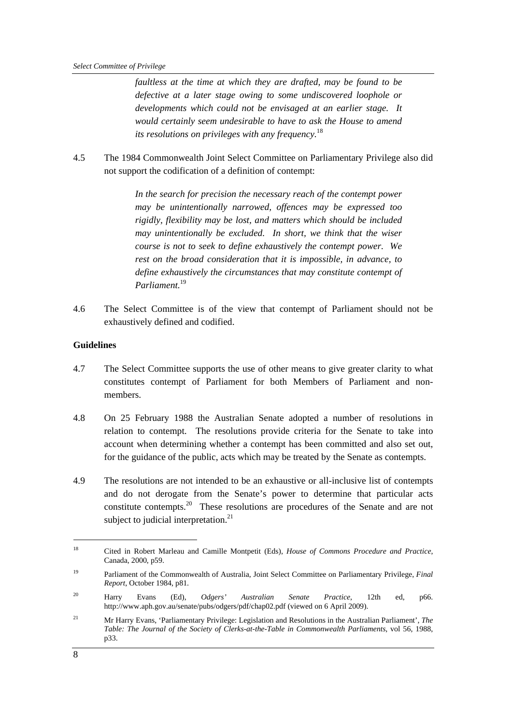*faultless at the time at which they are drafted, may be found to be defective at a later stage owing to some undiscovered loophole or developments which could not be envisaged at an earlier stage. It would certainly seem undesirable to have to ask the House to amend its resolutions on privileges with any frequency.*<sup>18</sup>

4.5 The 1984 Commonwealth Joint Select Committee on Parliamentary Privilege also did not support the codification of a definition of contempt:

> *In the search for precision the necessary reach of the contempt power may be unintentionally narrowed, offences may be expressed too rigidly, flexibility may be lost, and matters which should be included may unintentionally be excluded. In short, we think that the wiser course is not to seek to define exhaustively the contempt power. We rest on the broad consideration that it is impossible, in advance, to define exhaustively the circumstances that may constitute contempt of Parliament.*<sup>19</sup>

4.6 The Select Committee is of the view that contempt of Parliament should not be exhaustively defined and codified.

#### **Guidelines**

- 4.7 The Select Committee supports the use of other means to give greater clarity to what constitutes contempt of Parliament for both Members of Parliament and nonmembers.
- 4.8 On 25 February 1988 the Australian Senate adopted a number of resolutions in relation to contempt. The resolutions provide criteria for the Senate to take into account when determining whether a contempt has been committed and also set out, for the guidance of the public, acts which may be treated by the Senate as contempts.
- 4.9 The resolutions are not intended to be an exhaustive or all-inclusive list of contempts and do not derogate from the Senate's power to determine that particular acts constitute contempts.20 These resolutions are procedures of the Senate and are not subject to judicial interpretation.<sup>21</sup>

<sup>18</sup> Cited in Robert Marleau and Camille Montpetit (Eds), *House of Commons Procedure and Practice*, Canada, 2000, p59.

<sup>19</sup> Parliament of the Commonwealth of Australia, Joint Select Committee on Parliamentary Privilege, *Final Report*, October 1984, p81.

<sup>20</sup> Harry Evans (Ed), *Odgers' Australian Senate Practice*, 12th ed, p66. http://www.aph.gov.au/senate/pubs/odgers/pdf/chap02.pdf (viewed on 6 April 2009).

<sup>21</sup> Mr Harry Evans, 'Parliamentary Privilege: Legislation and Resolutions in the Australian Parliament', *The Table: The Journal of the Society of Clerks-at-the-Table in Commonwealth Parliaments*, vol 56, 1988, p33.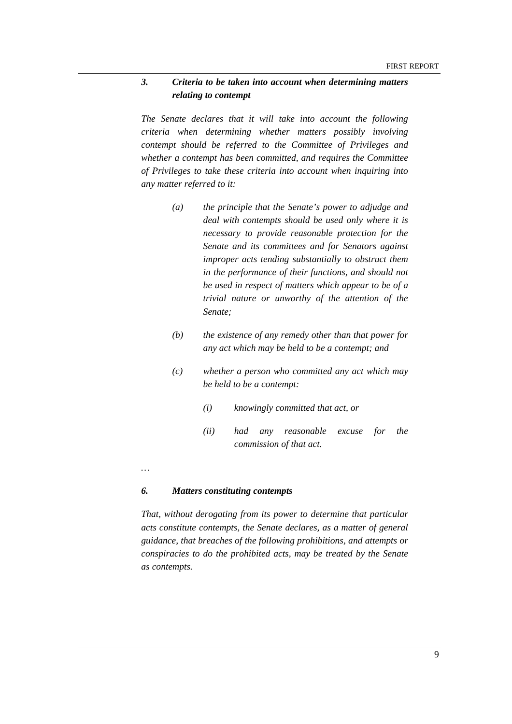#### *3. Criteria to be taken into account when determining matters relating to contempt*

*The Senate declares that it will take into account the following criteria when determining whether matters possibly involving contempt should be referred to the Committee of Privileges and whether a contempt has been committed, and requires the Committee of Privileges to take these criteria into account when inquiring into any matter referred to it:* 

- *(a) the principle that the Senate's power to adjudge and deal with contempts should be used only where it is necessary to provide reasonable protection for the Senate and its committees and for Senators against improper acts tending substantially to obstruct them in the performance of their functions, and should not be used in respect of matters which appear to be of a trivial nature or unworthy of the attention of the Senate;*
- *(b) the existence of any remedy other than that power for any act which may be held to be a contempt; and*
- *(c) whether a person who committed any act which may be held to be a contempt:* 
	- *(i) knowingly committed that act, or*
	- *(ii) had any reasonable excuse for the commission of that act.*
- *…*

#### *6. Matters constituting contempts*

*That, without derogating from its power to determine that particular acts constitute contempts, the Senate declares, as a matter of general guidance, that breaches of the following prohibitions, and attempts or conspiracies to do the prohibited acts, may be treated by the Senate as contempts.*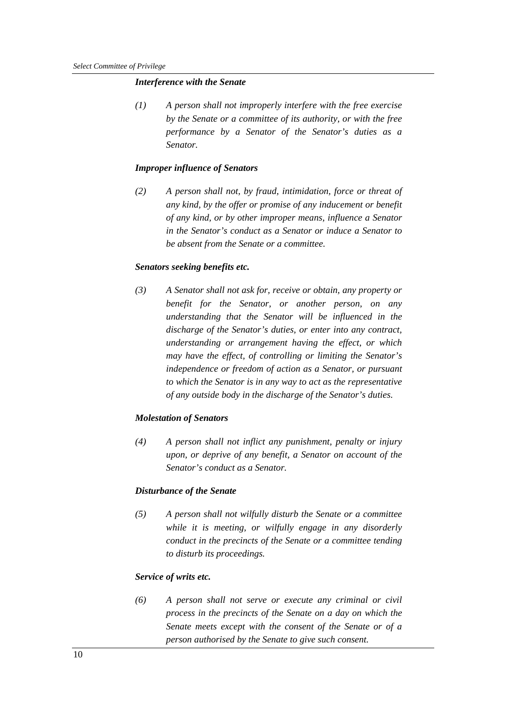#### *Interference with the Senate*

*(1) A person shall not improperly interfere with the free exercise by the Senate or a committee of its authority, or with the free performance by a Senator of the Senator's duties as a Senator.* 

#### *Improper influence of Senators*

*(2) A person shall not, by fraud, intimidation, force or threat of any kind, by the offer or promise of any inducement or benefit of any kind, or by other improper means, influence a Senator in the Senator's conduct as a Senator or induce a Senator to be absent from the Senate or a committee.* 

#### *Senators seeking benefits etc.*

*(3) A Senator shall not ask for, receive or obtain, any property or benefit for the Senator, or another person, on any understanding that the Senator will be influenced in the discharge of the Senator's duties, or enter into any contract, understanding or arrangement having the effect, or which may have the effect, of controlling or limiting the Senator's independence or freedom of action as a Senator, or pursuant to which the Senator is in any way to act as the representative of any outside body in the discharge of the Senator's duties.* 

#### *Molestation of Senators*

*(4) A person shall not inflict any punishment, penalty or injury upon, or deprive of any benefit, a Senator on account of the Senator's conduct as a Senator.* 

#### *Disturbance of the Senate*

*(5) A person shall not wilfully disturb the Senate or a committee while it is meeting, or wilfully engage in any disorderly conduct in the precincts of the Senate or a committee tending to disturb its proceedings.* 

#### *Service of writs etc.*

*(6) A person shall not serve or execute any criminal or civil process in the precincts of the Senate on a day on which the Senate meets except with the consent of the Senate or of a person authorised by the Senate to give such consent.*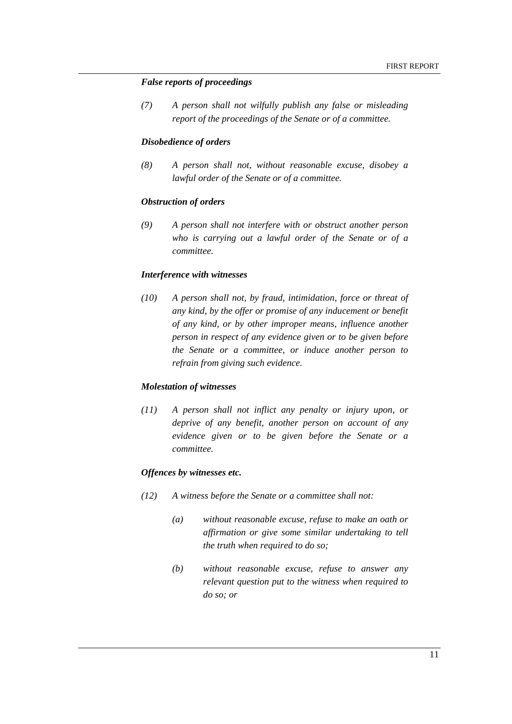#### *False reports of proceedings*

*(7) A person shall not wilfully publish any false or misleading report of the proceedings of the Senate or of a committee.* 

#### *Disobedience of orders*

*(8) A person shall not, without reasonable excuse, disobey a lawful order of the Senate or of a committee.* 

#### *Obstruction of orders*

*(9) A person shall not interfere with or obstruct another person who is carrying out a lawful order of the Senate or of a committee.* 

#### *Interference with witnesses*

*(10) A person shall not, by fraud, intimidation, force or threat of any kind, by the offer or promise of any inducement or benefit of any kind, or by other improper means, influence another person in respect of any evidence given or to be given before the Senate or a committee, or induce another person to refrain from giving such evidence.* 

#### *Molestation of witnesses*

*(11) A person shall not inflict any penalty or injury upon, or deprive of any benefit, another person on account of any evidence given or to be given before the Senate or a committee.* 

#### *Offences by witnesses etc.*

- *(12) A witness before the Senate or a committee shall not:* 
	- *(a) without reasonable excuse, refuse to make an oath or affirmation or give some similar undertaking to tell the truth when required to do so;*
	- *(b) without reasonable excuse, refuse to answer any relevant question put to the witness when required to do so; or*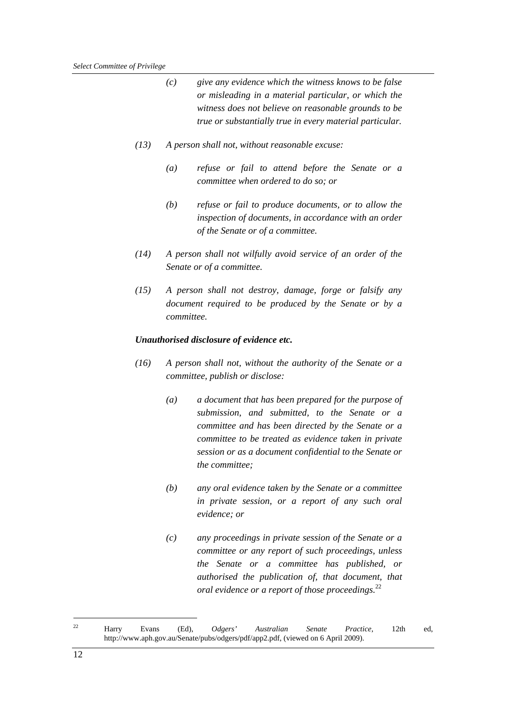|      | (c)                                                                                                                              | give any evidence which the witness knows to be false<br>or misleading in a material particular, or which the<br>witness does not believe on reasonable grounds to be<br>true or substantially true in every material particular.                                                               |  |
|------|----------------------------------------------------------------------------------------------------------------------------------|-------------------------------------------------------------------------------------------------------------------------------------------------------------------------------------------------------------------------------------------------------------------------------------------------|--|
| (13) | A person shall not, without reasonable excuse:                                                                                   |                                                                                                                                                                                                                                                                                                 |  |
|      | $\left( a\right)$                                                                                                                | refuse or fail to attend before the Senate or a<br>committee when ordered to do so; or                                                                                                                                                                                                          |  |
|      | (b)                                                                                                                              | refuse or fail to produce documents, or to allow the<br>inspection of documents, in accordance with an order<br>of the Senate or of a committee.                                                                                                                                                |  |
| (14) |                                                                                                                                  | A person shall not wilfully avoid service of an order of the<br>Senate or of a committee.                                                                                                                                                                                                       |  |
| (15) | A person shall not destroy, damage, forge or falsify any<br>document required to be produced by the Senate or by a<br>committee. |                                                                                                                                                                                                                                                                                                 |  |
|      |                                                                                                                                  | Unauthorised disclosure of evidence etc.                                                                                                                                                                                                                                                        |  |
| (16) | A person shall not, without the authority of the Senate or a<br>committee, publish or disclose:                                  |                                                                                                                                                                                                                                                                                                 |  |
|      |                                                                                                                                  |                                                                                                                                                                                                                                                                                                 |  |
|      | $\left(a\right)$                                                                                                                 | a document that has been prepared for the purpose of<br>submission, and submitted, to the Senate or a<br>committee and has been directed by the Senate or a<br>committee to be treated as evidence taken in private<br>session or as a document confidential to the Senate or<br>the committee; |  |
|      | (b)                                                                                                                              | any oral evidence taken by the Senate or a committee<br>in private session, or a report of any such oral<br>evidence; or                                                                                                                                                                        |  |

 $22\,$ 22 Harry Evans (Ed), *Odgers' Australian Senate Practice*, 12th ed, http://www.aph.gov.au/Senate/pubs/odgers/pdf/app2.pdf, (viewed on 6 April 2009).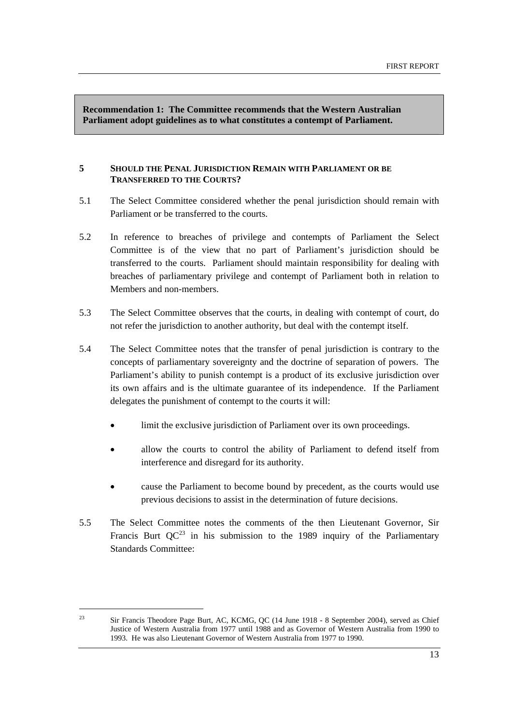**Recommendation 1: The Committee recommends that the Western Australian Parliament adopt guidelines as to what constitutes a contempt of Parliament.** 

#### **5 SHOULD THE PENAL JURISDICTION REMAIN WITH PARLIAMENT OR BE TRANSFERRED TO THE COURTS?**

- 5.1 The Select Committee considered whether the penal jurisdiction should remain with Parliament or be transferred to the courts.
- 5.2 In reference to breaches of privilege and contempts of Parliament the Select Committee is of the view that no part of Parliament's jurisdiction should be transferred to the courts. Parliament should maintain responsibility for dealing with breaches of parliamentary privilege and contempt of Parliament both in relation to Members and non-members.
- 5.3 The Select Committee observes that the courts, in dealing with contempt of court, do not refer the jurisdiction to another authority, but deal with the contempt itself.
- 5.4 The Select Committee notes that the transfer of penal jurisdiction is contrary to the concepts of parliamentary sovereignty and the doctrine of separation of powers. The Parliament's ability to punish contempt is a product of its exclusive jurisdiction over its own affairs and is the ultimate guarantee of its independence. If the Parliament delegates the punishment of contempt to the courts it will:
	- limit the exclusive jurisdiction of Parliament over its own proceedings.
	- allow the courts to control the ability of Parliament to defend itself from interference and disregard for its authority.
	- cause the Parliament to become bound by precedent, as the courts would use previous decisions to assist in the determination of future decisions.
- 5.5 The Select Committee notes the comments of the then Lieutenant Governor, Sir Francis Burt  $OC^{23}$  in his submission to the 1989 inquiry of the Parliamentary Standards Committee:

<sup>&</sup>lt;sup>23</sup> Sir Francis Theodore Page Burt, AC, KCMG, OC (14 June 1918 - 8 September 2004), served as Chief Justice of Western Australia from 1977 until 1988 and as Governor of Western Australia from 1990 to 1993. He was also Lieutenant Governor of Western Australia from 1977 to 1990.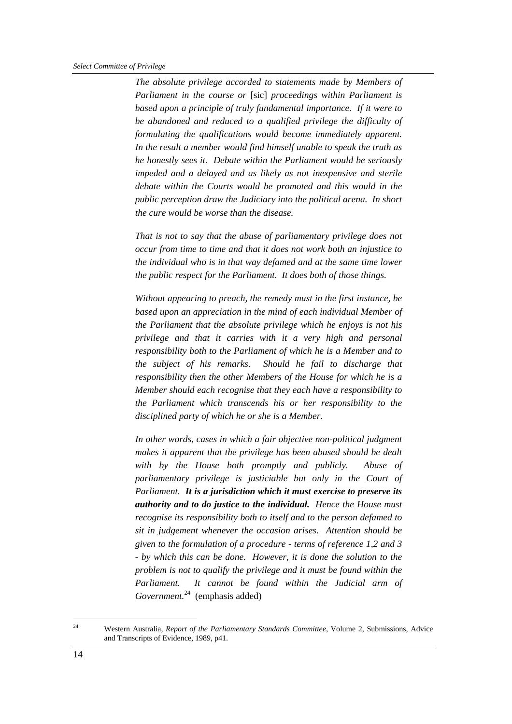*The absolute privilege accorded to statements made by Members of Parliament in the course or* [sic] *proceedings within Parliament is based upon a principle of truly fundamental importance. If it were to be abandoned and reduced to a qualified privilege the difficulty of formulating the qualifications would become immediately apparent. In the result a member would find himself unable to speak the truth as he honestly sees it. Debate within the Parliament would be seriously impeded and a delayed and as likely as not inexpensive and sterile debate within the Courts would be promoted and this would in the public perception draw the Judiciary into the political arena. In short the cure would be worse than the disease.* 

*That is not to say that the abuse of parliamentary privilege does not occur from time to time and that it does not work both an injustice to the individual who is in that way defamed and at the same time lower the public respect for the Parliament. It does both of those things.* 

*Without appearing to preach, the remedy must in the first instance, be based upon an appreciation in the mind of each individual Member of the Parliament that the absolute privilege which he enjoys is not his privilege and that it carries with it a very high and personal responsibility both to the Parliament of which he is a Member and to the subject of his remarks. Should he fail to discharge that responsibility then the other Members of the House for which he is a Member should each recognise that they each have a responsibility to the Parliament which transcends his or her responsibility to the disciplined party of which he or she is a Member.* 

*In other words, cases in which a fair objective non-political judgment makes it apparent that the privilege has been abused should be dealt with by the House both promptly and publicly. Abuse of parliamentary privilege is justiciable but only in the Court of Parliament. It is a jurisdiction which it must exercise to preserve its authority and to do justice to the individual. Hence the House must recognise its responsibility both to itself and to the person defamed to sit in judgement whenever the occasion arises. Attention should be given to the formulation of a procedure - terms of reference 1,2 and 3 - by which this can be done. However, it is done the solution to the problem is not to qualify the privilege and it must be found within the Parliament. It cannot be found within the Judicial arm of Government.*<sup>24</sup>(emphasis added)

<sup>24</sup> Western Australia, *Report of the Parliamentary Standards Committee*, Volume 2, Submissions, Advice and Transcripts of Evidence, 1989, p41.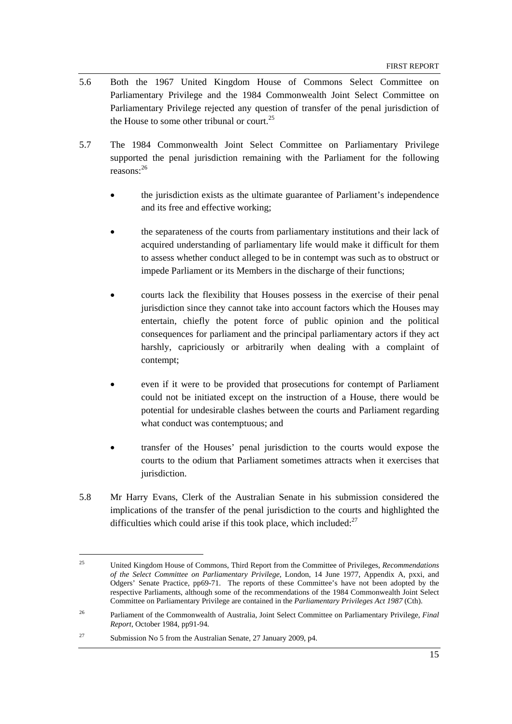- 5.6 Both the 1967 United Kingdom House of Commons Select Committee on Parliamentary Privilege and the 1984 Commonwealth Joint Select Committee on Parliamentary Privilege rejected any question of transfer of the penal jurisdiction of the House to some other tribunal or court.<sup>25</sup>
- 5.7 The 1984 Commonwealth Joint Select Committee on Parliamentary Privilege supported the penal jurisdiction remaining with the Parliament for the following reasons:<sup>26</sup>
	- the jurisdiction exists as the ultimate guarantee of Parliament's independence and its free and effective working;
	- the separateness of the courts from parliamentary institutions and their lack of acquired understanding of parliamentary life would make it difficult for them to assess whether conduct alleged to be in contempt was such as to obstruct or impede Parliament or its Members in the discharge of their functions;
	- courts lack the flexibility that Houses possess in the exercise of their penal jurisdiction since they cannot take into account factors which the Houses may entertain, chiefly the potent force of public opinion and the political consequences for parliament and the principal parliamentary actors if they act harshly, capriciously or arbitrarily when dealing with a complaint of contempt;
	- even if it were to be provided that prosecutions for contempt of Parliament could not be initiated except on the instruction of a House, there would be potential for undesirable clashes between the courts and Parliament regarding what conduct was contemptuous; and
	- transfer of the Houses' penal jurisdiction to the courts would expose the courts to the odium that Parliament sometimes attracts when it exercises that jurisdiction.
- 5.8 Mr Harry Evans, Clerk of the Australian Senate in his submission considered the implications of the transfer of the penal jurisdiction to the courts and highlighted the difficulties which could arise if this took place, which included: $27$

<sup>25</sup> United Kingdom House of Commons, Third Report from the Committee of Privileges, *Recommendations of the Select Committee on Parliamentary Privilege*, London, 14 June 1977, Appendix A, pxxi, and Odgers' Senate Practice, pp69-71. The reports of these Committee's have not been adopted by the respective Parliaments, although some of the recommendations of the 1984 Commonwealth Joint Select Committee on Parliamentary Privilege are contained in the *Parliamentary Privileges Act 1987* (Cth).

<sup>26</sup> Parliament of the Commonwealth of Australia, Joint Select Committee on Parliamentary Privilege, *Final Report*, October 1984, pp91-94.

<sup>&</sup>lt;sup>27</sup> Submission No 5 from the Australian Senate, 27 January 2009, p4.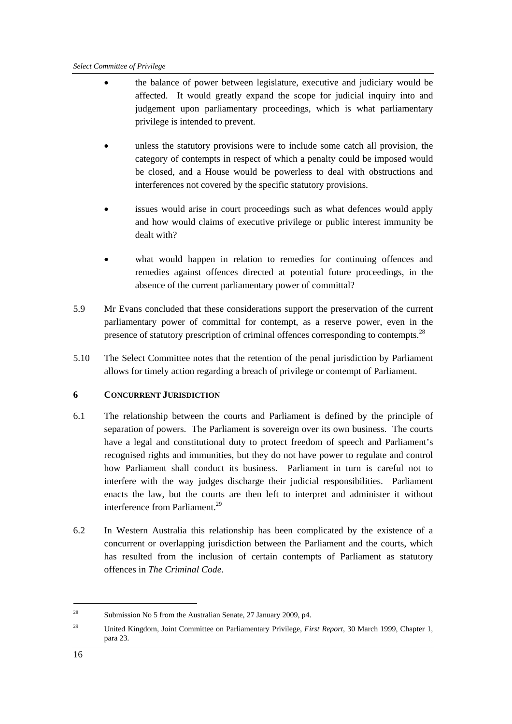- the balance of power between legislature, executive and judiciary would be affected. It would greatly expand the scope for judicial inquiry into and judgement upon parliamentary proceedings, which is what parliamentary privilege is intended to prevent.
- unless the statutory provisions were to include some catch all provision, the category of contempts in respect of which a penalty could be imposed would be closed, and a House would be powerless to deal with obstructions and interferences not covered by the specific statutory provisions.
- issues would arise in court proceedings such as what defences would apply and how would claims of executive privilege or public interest immunity be dealt with?
- what would happen in relation to remedies for continuing offences and remedies against offences directed at potential future proceedings, in the absence of the current parliamentary power of committal?
- 5.9 Mr Evans concluded that these considerations support the preservation of the current parliamentary power of committal for contempt, as a reserve power, even in the presence of statutory prescription of criminal offences corresponding to contempts.<sup>28</sup>
- 5.10 The Select Committee notes that the retention of the penal jurisdiction by Parliament allows for timely action regarding a breach of privilege or contempt of Parliament.

#### **6 CONCURRENT JURISDICTION**

- 6.1 The relationship between the courts and Parliament is defined by the principle of separation of powers. The Parliament is sovereign over its own business. The courts have a legal and constitutional duty to protect freedom of speech and Parliament's recognised rights and immunities, but they do not have power to regulate and control how Parliament shall conduct its business. Parliament in turn is careful not to interfere with the way judges discharge their judicial responsibilities. Parliament enacts the law, but the courts are then left to interpret and administer it without interference from Parliament.<sup>29</sup>
- 6.2 In Western Australia this relationship has been complicated by the existence of a concurrent or overlapping jurisdiction between the Parliament and the courts, which has resulted from the inclusion of certain contempts of Parliament as statutory offences in *The Criminal Code*.

<sup>28</sup> Submission No 5 from the Australian Senate, 27 January 2009, p4.

<sup>29</sup> United Kingdom, Joint Committee on Parliamentary Privilege, *First Report*, 30 March 1999, Chapter 1, para 23.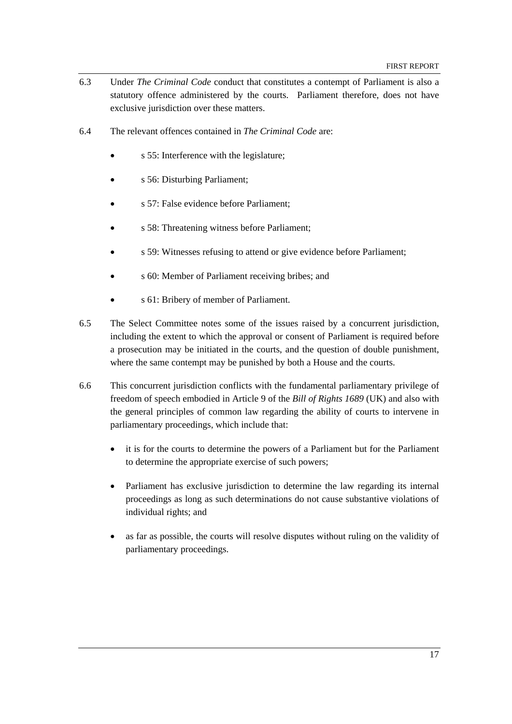- 6.3 Under *The Criminal Code* conduct that constitutes a contempt of Parliament is also a statutory offence administered by the courts. Parliament therefore, does not have exclusive jurisdiction over these matters.
- 6.4 The relevant offences contained in *The Criminal Code* are:
	- s 55: Interference with the legislature;
	- s 56: Disturbing Parliament;
	- s 57: False evidence before Parliament;
	- s 58: Threatening witness before Parliament;
	- s 59: Witnesses refusing to attend or give evidence before Parliament;
	- s 60: Member of Parliament receiving bribes; and
	- s 61: Bribery of member of Parliament.
- 6.5 The Select Committee notes some of the issues raised by a concurrent jurisdiction, including the extent to which the approval or consent of Parliament is required before a prosecution may be initiated in the courts, and the question of double punishment, where the same contempt may be punished by both a House and the courts.
- 6.6 This concurrent jurisdiction conflicts with the fundamental parliamentary privilege of freedom of speech embodied in Article 9 of the *Bill of Rights 1689* (UK) and also with the general principles of common law regarding the ability of courts to intervene in parliamentary proceedings, which include that:
	- it is for the courts to determine the powers of a Parliament but for the Parliament to determine the appropriate exercise of such powers;
	- Parliament has exclusive jurisdiction to determine the law regarding its internal proceedings as long as such determinations do not cause substantive violations of individual rights; and
	- as far as possible, the courts will resolve disputes without ruling on the validity of parliamentary proceedings.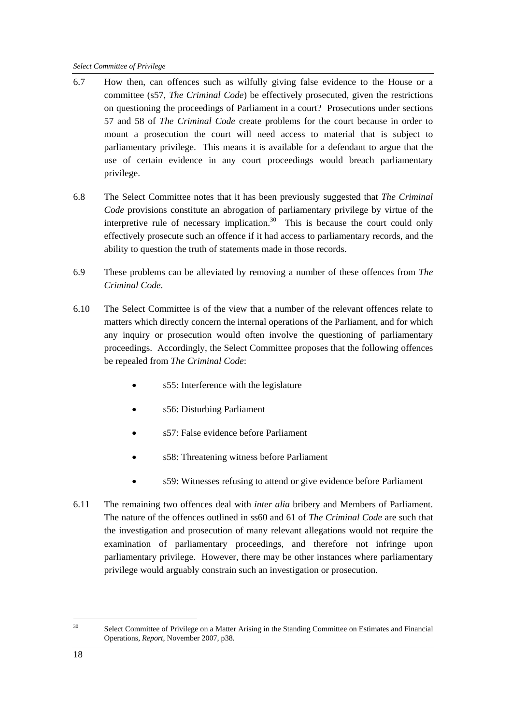- 6.7 How then, can offences such as wilfully giving false evidence to the House or a committee (s57, *The Criminal Code*) be effectively prosecuted, given the restrictions on questioning the proceedings of Parliament in a court? Prosecutions under sections 57 and 58 of *The Criminal Code* create problems for the court because in order to mount a prosecution the court will need access to material that is subject to parliamentary privilege. This means it is available for a defendant to argue that the use of certain evidence in any court proceedings would breach parliamentary privilege.
- 6.8 The Select Committee notes that it has been previously suggested that *The Criminal Code* provisions constitute an abrogation of parliamentary privilege by virtue of the interpretive rule of necessary implication.<sup>30</sup> This is because the court could only effectively prosecute such an offence if it had access to parliamentary records, and the ability to question the truth of statements made in those records.
- 6.9 These problems can be alleviated by removing a number of these offences from *The Criminal Code*.
- 6.10 The Select Committee is of the view that a number of the relevant offences relate to matters which directly concern the internal operations of the Parliament, and for which any inquiry or prosecution would often involve the questioning of parliamentary proceedings. Accordingly, the Select Committee proposes that the following offences be repealed from *The Criminal Code*:
	- s55: Interference with the legislature
	- s56: Disturbing Parliament
	- s57: False evidence before Parliament
	- s58: Threatening witness before Parliament
	- s59: Witnesses refusing to attend or give evidence before Parliament
- 6.11 The remaining two offences deal with *inter alia* bribery and Members of Parliament. The nature of the offences outlined in ss60 and 61 of *The Criminal Code* are such that the investigation and prosecution of many relevant allegations would not require the examination of parliamentary proceedings, and therefore not infringe upon parliamentary privilege. However, there may be other instances where parliamentary privilege would arguably constrain such an investigation or prosecution.

<sup>&</sup>lt;sup>30</sup> Select Committee of Privilege on a Matter Arising in the Standing Committee on Estimates and Financial Operations, *Report*, November 2007, p38.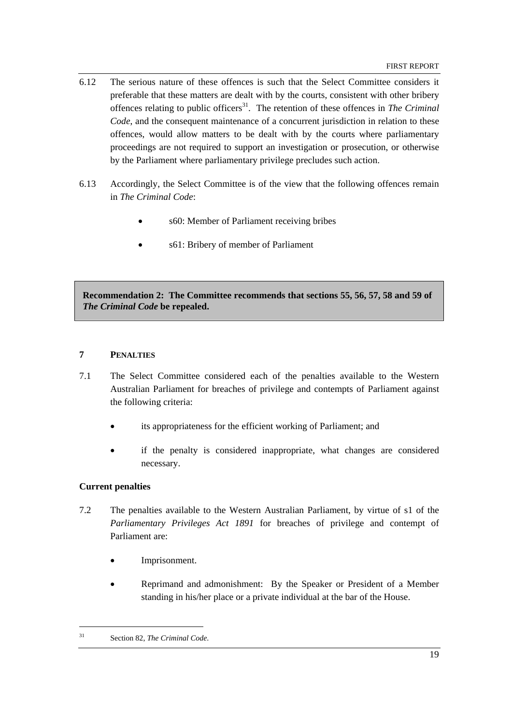- 6.12 The serious nature of these offences is such that the Select Committee considers it preferable that these matters are dealt with by the courts, consistent with other bribery offences relating to public officers<sup>31</sup>. The retention of these offences in *The Criminal Code*, and the consequent maintenance of a concurrent jurisdiction in relation to these offences, would allow matters to be dealt with by the courts where parliamentary proceedings are not required to support an investigation or prosecution, or otherwise by the Parliament where parliamentary privilege precludes such action.
- 6.13 Accordingly, the Select Committee is of the view that the following offences remain in *The Criminal Code*:
	- s60: Member of Parliament receiving bribes
	- s61: Bribery of member of Parliament

**Recommendation 2: The Committee recommends that sections 55, 56, 57, 58 and 59 of**  *The Criminal Code* **be repealed.** 

#### **7 PENALTIES**

- 7.1 The Select Committee considered each of the penalties available to the Western Australian Parliament for breaches of privilege and contempts of Parliament against the following criteria:
	- its appropriateness for the efficient working of Parliament; and
	- if the penalty is considered inappropriate, what changes are considered necessary.

#### **Current penalties**

- 7.2 The penalties available to the Western Australian Parliament, by virtue of s1 of the *Parliamentary Privileges Act 1891* for breaches of privilege and contempt of Parliament are:
	- Imprisonment.
	- Reprimand and admonishment: By the Speaker or President of a Member standing in his/her place or a private individual at the bar of the House.

<sup>31</sup> Section 82, *The Criminal Code*.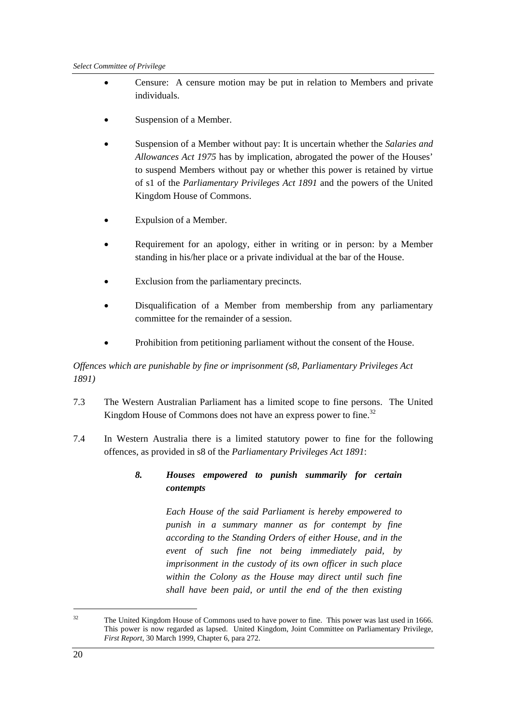- Censure: A censure motion may be put in relation to Members and private individuals.
- Suspension of a Member.
- Suspension of a Member without pay: It is uncertain whether the *Salaries and Allowances Act 1975* has by implication, abrogated the power of the Houses' to suspend Members without pay or whether this power is retained by virtue of s1 of the *Parliamentary Privileges Act 1891* and the powers of the United Kingdom House of Commons.
- Expulsion of a Member.
- Requirement for an apology, either in writing or in person: by a Member standing in his/her place or a private individual at the bar of the House.
- Exclusion from the parliamentary precincts.
- Disqualification of a Member from membership from any parliamentary committee for the remainder of a session.
- Prohibition from petitioning parliament without the consent of the House.

*Offences which are punishable by fine or imprisonment (s8, Parliamentary Privileges Act 1891)* 

- 7.3 The Western Australian Parliament has a limited scope to fine persons. The United Kingdom House of Commons does not have an express power to fine.<sup>32</sup>
- 7.4 In Western Australia there is a limited statutory power to fine for the following offences, as provided in s8 of the *Parliamentary Privileges Act 1891*:

#### *8. Houses empowered to punish summarily for certain contempts*

 *Each House of the said Parliament is hereby empowered to punish in a summary manner as for contempt by fine according to the Standing Orders of either House, and in the event of such fine not being immediately paid, by imprisonment in the custody of its own officer in such place within the Colony as the House may direct until such fine shall have been paid, or until the end of the then existing* 

<sup>&</sup>lt;sup>32</sup> The United Kingdom House of Commons used to have power to fine. This power was last used in 1666. This power is now regarded as lapsed. United Kingdom, Joint Committee on Parliamentary Privilege, *First Report*, 30 March 1999, Chapter 6, para 272.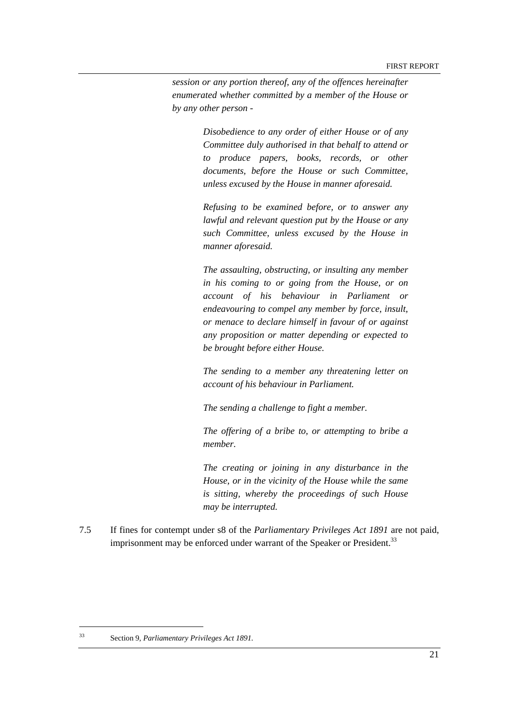*session or any portion thereof, any of the offences hereinafter enumerated whether committed by a member of the House or by any other person -* 

> *Disobedience to any order of either House or of any Committee duly authorised in that behalf to attend or to produce papers, books, records, or other documents, before the House or such Committee, unless excused by the House in manner aforesaid.*

> *Refusing to be examined before, or to answer any lawful and relevant question put by the House or any such Committee, unless excused by the House in manner aforesaid.*

> *The assaulting, obstructing, or insulting any member in his coming to or going from the House, or on account of his behaviour in Parliament or endeavouring to compel any member by force, insult, or menace to declare himself in favour of or against any proposition or matter depending or expected to be brought before either House.*

> *The sending to a member any threatening letter on account of his behaviour in Parliament.*

*The sending a challenge to fight a member.* 

*The offering of a bribe to, or attempting to bribe a member.* 

*The creating or joining in any disturbance in the House, or in the vicinity of the House while the same is sitting, whereby the proceedings of such House may be interrupted.* 

7.5 If fines for contempt under s8 of the *Parliamentary Privileges Act 1891* are not paid, imprisonment may be enforced under warrant of the Speaker or President.<sup>33</sup>

<sup>33</sup> Section 9*, Parliamentary Privileges Act 1891.*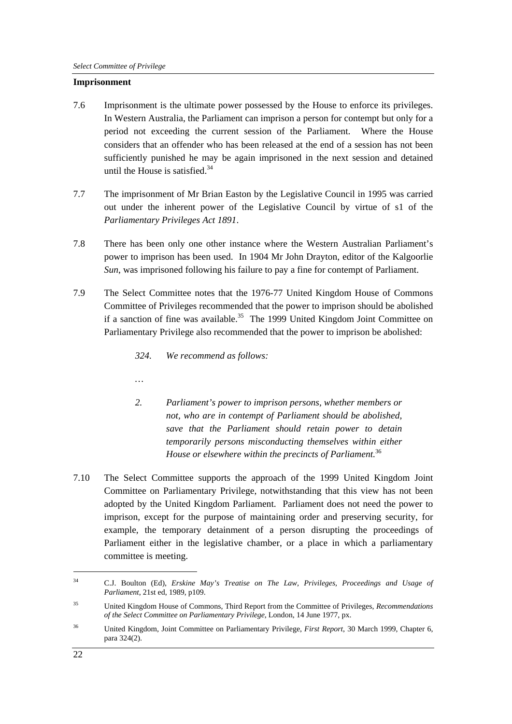#### **Imprisonment**

- 7.6 Imprisonment is the ultimate power possessed by the House to enforce its privileges. In Western Australia, the Parliament can imprison a person for contempt but only for a period not exceeding the current session of the Parliament. Where the House considers that an offender who has been released at the end of a session has not been sufficiently punished he may be again imprisoned in the next session and detained until the House is satisfied. $34$
- 7.7 The imprisonment of Mr Brian Easton by the Legislative Council in 1995 was carried out under the inherent power of the Legislative Council by virtue of s1 of the *Parliamentary Privileges Act 1891*.
- 7.8 There has been only one other instance where the Western Australian Parliament's power to imprison has been used. In 1904 Mr John Drayton, editor of the Kalgoorlie *Sun*, was imprisoned following his failure to pay a fine for contempt of Parliament.
- 7.9 The Select Committee notes that the 1976-77 United Kingdom House of Commons Committee of Privileges recommended that the power to imprison should be abolished if a sanction of fine was available.<sup>35</sup> The 1999 United Kingdom Joint Committee on Parliamentary Privilege also recommended that the power to imprison be abolished:
	- *324. We recommend as follows:*
	- *…*
	- *2. Parliament's power to imprison persons, whether members or not, who are in contempt of Parliament should be abolished, save that the Parliament should retain power to detain temporarily persons misconducting themselves within either House or elsewhere within the precincts of Parliament.*<sup>36</sup>
- 7.10 The Select Committee supports the approach of the 1999 United Kingdom Joint Committee on Parliamentary Privilege, notwithstanding that this view has not been adopted by the United Kingdom Parliament. Parliament does not need the power to imprison, except for the purpose of maintaining order and preserving security, for example, the temporary detainment of a person disrupting the proceedings of Parliament either in the legislative chamber, or a place in which a parliamentary committee is meeting.

<sup>34</sup> C.J. Boulton (Ed), *Erskine May's Treatise on The Law, Privileges, Proceedings and Usage of Parliament*, 21st ed, 1989, p109.

<sup>35</sup> United Kingdom House of Commons, Third Report from the Committee of Privileges, *Recommendations of the Select Committee on Parliamentary Privilege*, London, 14 June 1977, px.

<sup>36</sup> United Kingdom, Joint Committee on Parliamentary Privilege, *First Report*, 30 March 1999, Chapter 6, para 324(2).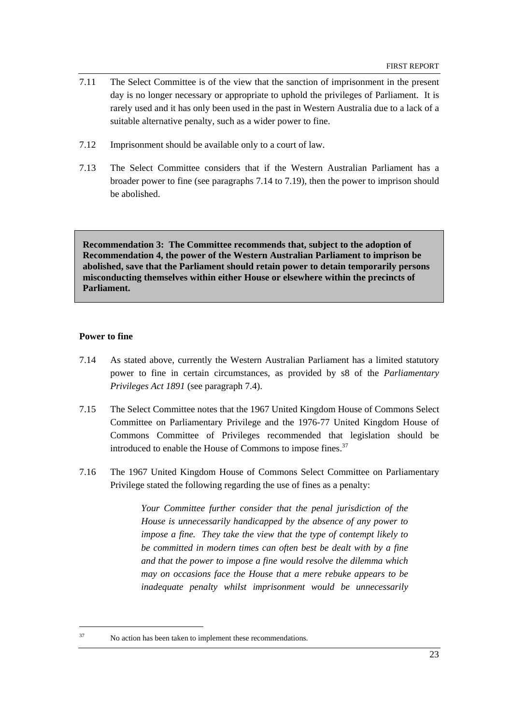- 7.11 The Select Committee is of the view that the sanction of imprisonment in the present day is no longer necessary or appropriate to uphold the privileges of Parliament. It is rarely used and it has only been used in the past in Western Australia due to a lack of a suitable alternative penalty, such as a wider power to fine.
- 7.12 Imprisonment should be available only to a court of law.
- 7.13 The Select Committee considers that if the Western Australian Parliament has a broader power to fine (see paragraphs 7.14 to 7.19), then the power to imprison should be abolished.

**Recommendation 3: The Committee recommends that, subject to the adoption of Recommendation 4, the power of the Western Australian Parliament to imprison be abolished, save that the Parliament should retain power to detain temporarily persons misconducting themselves within either House or elsewhere within the precincts of Parliament.** 

#### **Power to fine**

- 7.14 As stated above, currently the Western Australian Parliament has a limited statutory power to fine in certain circumstances, as provided by s8 of the *Parliamentary Privileges Act 1891* (see paragraph 7.4).
- 7.15 The Select Committee notes that the 1967 United Kingdom House of Commons Select Committee on Parliamentary Privilege and the 1976-77 United Kingdom House of Commons Committee of Privileges recommended that legislation should be introduced to enable the House of Commons to impose fines.<sup>37</sup>
- 7.16 The 1967 United Kingdom House of Commons Select Committee on Parliamentary Privilege stated the following regarding the use of fines as a penalty:

*Your Committee further consider that the penal jurisdiction of the House is unnecessarily handicapped by the absence of any power to impose a fine. They take the view that the type of contempt likely to be committed in modern times can often best be dealt with by a fine and that the power to impose a fine would resolve the dilemma which may on occasions face the House that a mere rebuke appears to be inadequate penalty whilst imprisonment would be unnecessarily* 

<sup>37</sup> No action has been taken to implement these recommendations.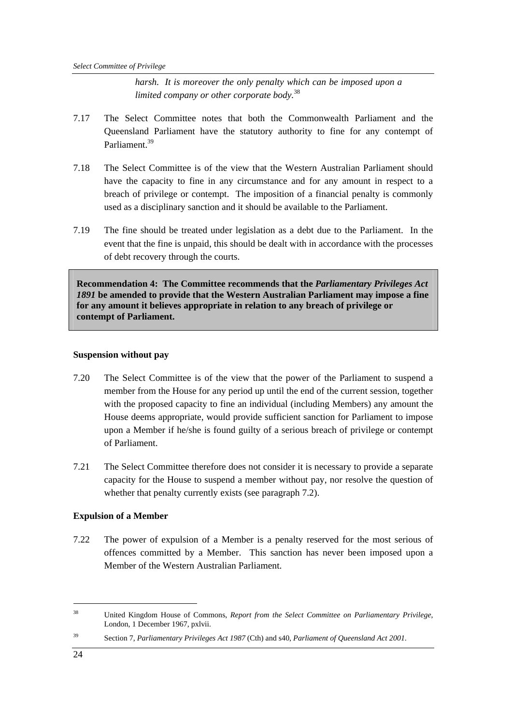*harsh. It is moreover the only penalty which can be imposed upon a limited company or other corporate body.*<sup>38</sup>

- 7.17 The Select Committee notes that both the Commonwealth Parliament and the Queensland Parliament have the statutory authority to fine for any contempt of Parliament.<sup>39</sup>
- 7.18 The Select Committee is of the view that the Western Australian Parliament should have the capacity to fine in any circumstance and for any amount in respect to a breach of privilege or contempt. The imposition of a financial penalty is commonly used as a disciplinary sanction and it should be available to the Parliament.
- 7.19 The fine should be treated under legislation as a debt due to the Parliament. In the event that the fine is unpaid, this should be dealt with in accordance with the processes of debt recovery through the courts.

**Recommendation 4: The Committee recommends that the** *Parliamentary Privileges Act 1891* **be amended to provide that the Western Australian Parliament may impose a fine for any amount it believes appropriate in relation to any breach of privilege or contempt of Parliament.** 

#### **Suspension without pay**

- 7.20 The Select Committee is of the view that the power of the Parliament to suspend a member from the House for any period up until the end of the current session, together with the proposed capacity to fine an individual (including Members) any amount the House deems appropriate, would provide sufficient sanction for Parliament to impose upon a Member if he/she is found guilty of a serious breach of privilege or contempt of Parliament.
- 7.21 The Select Committee therefore does not consider it is necessary to provide a separate capacity for the House to suspend a member without pay, nor resolve the question of whether that penalty currently exists (see paragraph 7.2).

#### **Expulsion of a Member**

7.22 The power of expulsion of a Member is a penalty reserved for the most serious of offences committed by a Member. This sanction has never been imposed upon a Member of the Western Australian Parliament.

39 Section 7, *Parliamentary Privileges Act 1987* (Cth) and s40, *Parliament of Queensland Act 2001*.

<sup>38</sup> United Kingdom House of Commons, *Report from the Select Committee on Parliamentary Privilege*, London, 1 December 1967, pxlvii.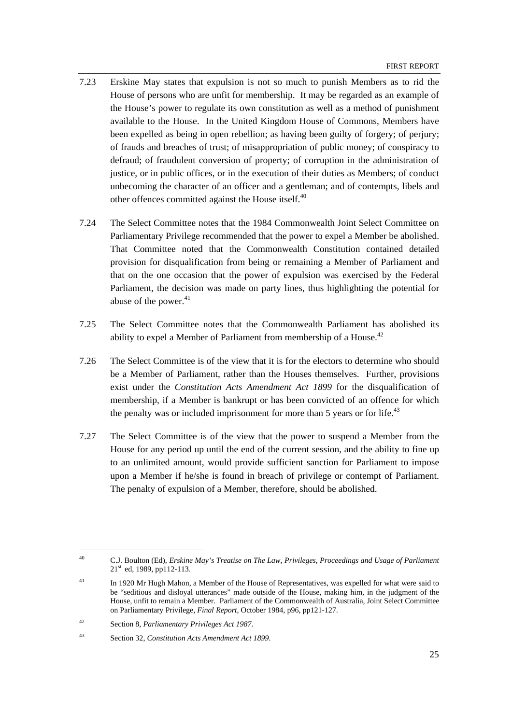- 7.23 Erskine May states that expulsion is not so much to punish Members as to rid the House of persons who are unfit for membership. It may be regarded as an example of the House's power to regulate its own constitution as well as a method of punishment available to the House. In the United Kingdom House of Commons, Members have been expelled as being in open rebellion; as having been guilty of forgery; of perjury; of frauds and breaches of trust; of misappropriation of public money; of conspiracy to defraud; of fraudulent conversion of property; of corruption in the administration of justice, or in public offices, or in the execution of their duties as Members; of conduct unbecoming the character of an officer and a gentleman; and of contempts, libels and other offences committed against the House itself.<sup>40</sup>
- 7.24 The Select Committee notes that the 1984 Commonwealth Joint Select Committee on Parliamentary Privilege recommended that the power to expel a Member be abolished. That Committee noted that the Commonwealth Constitution contained detailed provision for disqualification from being or remaining a Member of Parliament and that on the one occasion that the power of expulsion was exercised by the Federal Parliament, the decision was made on party lines, thus highlighting the potential for abuse of the power. $41$
- 7.25 The Select Committee notes that the Commonwealth Parliament has abolished its ability to expel a Member of Parliament from membership of a House.<sup>42</sup>
- 7.26 The Select Committee is of the view that it is for the electors to determine who should be a Member of Parliament, rather than the Houses themselves. Further, provisions exist under the *Constitution Acts Amendment Act 1899* for the disqualification of membership, if a Member is bankrupt or has been convicted of an offence for which the penalty was or included imprisonment for more than 5 years or for life.<sup>43</sup>
- 7.27 The Select Committee is of the view that the power to suspend a Member from the House for any period up until the end of the current session, and the ability to fine up to an unlimited amount, would provide sufficient sanction for Parliament to impose upon a Member if he/she is found in breach of privilege or contempt of Parliament. The penalty of expulsion of a Member, therefore, should be abolished.

<sup>40</sup> C.J. Boulton (Ed), *Erskine May's Treatise on The Law, Privileges, Proceedings and Usage of Parliament*  $21<sup>st</sup>$  ed, 1989, pp112-113.

<sup>&</sup>lt;sup>41</sup> In 1920 Mr Hugh Mahon, a Member of the House of Representatives, was expelled for what were said to be "seditious and disloyal utterances" made outside of the House, making him, in the judgment of the House, unfit to remain a Member. Parliament of the Commonwealth of Australia, Joint Select Committee on Parliamentary Privilege, *Final Report*, October 1984, p96, pp121-127.

<sup>42</sup> Section 8, *Parliamentary Privileges Act 1987*.

<sup>43</sup> Section 32, *Constitution Acts Amendment Act 1899*.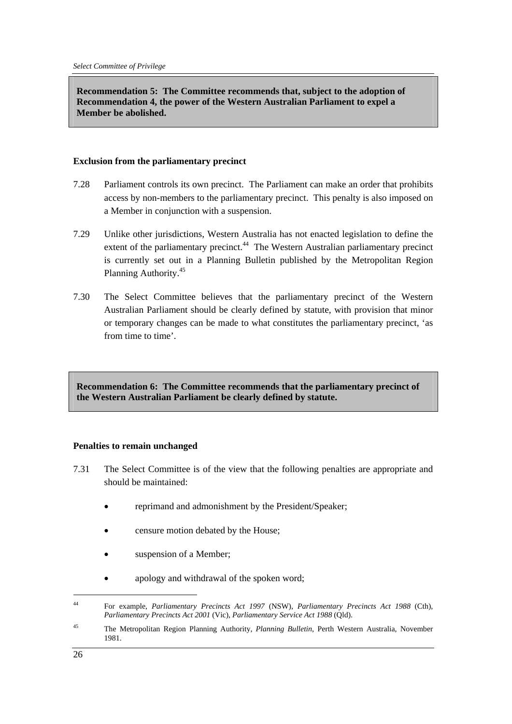**Recommendation 5: The Committee recommends that, subject to the adoption of Recommendation 4, the power of the Western Australian Parliament to expel a Member be abolished.** 

#### **Exclusion from the parliamentary precinct**

- 7.28 Parliament controls its own precinct. The Parliament can make an order that prohibits access by non-members to the parliamentary precinct. This penalty is also imposed on a Member in conjunction with a suspension.
- 7.29 Unlike other jurisdictions, Western Australia has not enacted legislation to define the extent of the parliamentary precinct.<sup>44</sup> The Western Australian parliamentary precinct is currently set out in a Planning Bulletin published by the Metropolitan Region Planning Authority.45
- 7.30 The Select Committee believes that the parliamentary precinct of the Western Australian Parliament should be clearly defined by statute, with provision that minor or temporary changes can be made to what constitutes the parliamentary precinct, 'as from time to time'.

**Recommendation 6: The Committee recommends that the parliamentary precinct of the Western Australian Parliament be clearly defined by statute.** 

#### **Penalties to remain unchanged**

- 7.31 The Select Committee is of the view that the following penalties are appropriate and should be maintained:
	- reprimand and admonishment by the President/Speaker;
	- censure motion debated by the House;
	- suspension of a Member;
	- apology and withdrawal of the spoken word;

<sup>44</sup> For example, *Parliamentary Precincts Act 1997* (NSW), *Parliamentary Precincts Act 1988* (Cth), *Parliamentary Precincts Act 2001* (Vic), *Parliamentary Service Act 1988* (Qld).

<sup>45</sup> The Metropolitan Region Planning Authority, *Planning Bulletin*, Perth Western Australia, November 1981.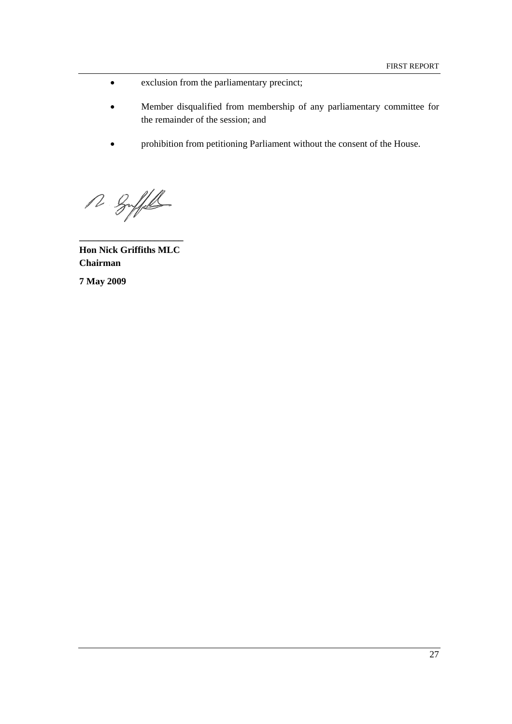- exclusion from the parliamentary precinct;
- Member disqualified from membership of any parliamentary committee for the remainder of the session; and
- prohibition from petitioning Parliament without the consent of the House.

R Suffel

**Hon Nick Griffiths MLC Chairman** 

**\_\_\_\_\_\_\_\_\_\_\_\_\_\_\_\_\_\_\_\_\_\_** 

**7 May 2009**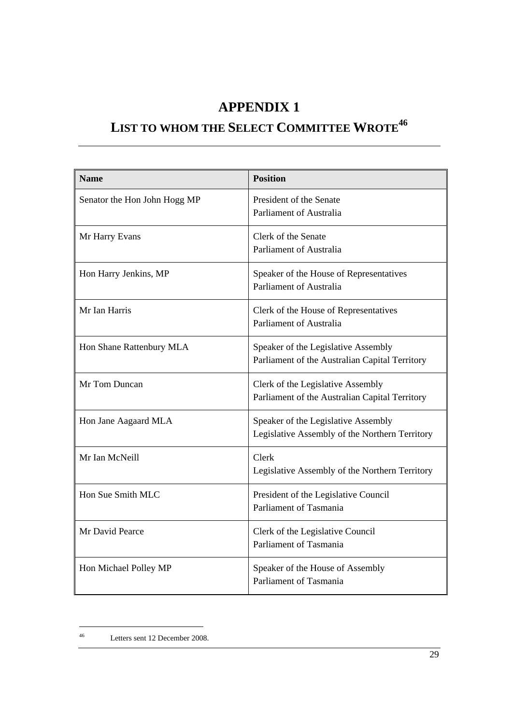# **APPENDIX 1**

# LIST TO WHOM THE SELECT COMMITTEE WROTE<sup>46</sup>

| <b>Name</b>                  | <b>Position</b>                                                                       |
|------------------------------|---------------------------------------------------------------------------------------|
| Senator the Hon John Hogg MP | President of the Senate<br><b>Parliament of Australia</b>                             |
| Mr Harry Evans               | Clerk of the Senate<br>Parliament of Australia                                        |
| Hon Harry Jenkins, MP        | Speaker of the House of Representatives<br><b>Parliament of Australia</b>             |
| Mr Ian Harris                | Clerk of the House of Representatives<br>Parliament of Australia                      |
| Hon Shane Rattenbury MLA     | Speaker of the Legislative Assembly<br>Parliament of the Australian Capital Territory |
| Mr Tom Duncan                | Clerk of the Legislative Assembly<br>Parliament of the Australian Capital Territory   |
| Hon Jane Aagaard MLA         | Speaker of the Legislative Assembly<br>Legislative Assembly of the Northern Territory |
| Mr Ian McNeill               | Clerk<br>Legislative Assembly of the Northern Territory                               |
| Hon Sue Smith MLC            | President of the Legislative Council<br>Parliament of Tasmania                        |
| Mr David Pearce              | Clerk of the Legislative Council<br>Parliament of Tasmania                            |
| Hon Michael Polley MP        | Speaker of the House of Assembly<br>Parliament of Tasmania                            |

<sup>46</sup> Letters sent 12 December 2008.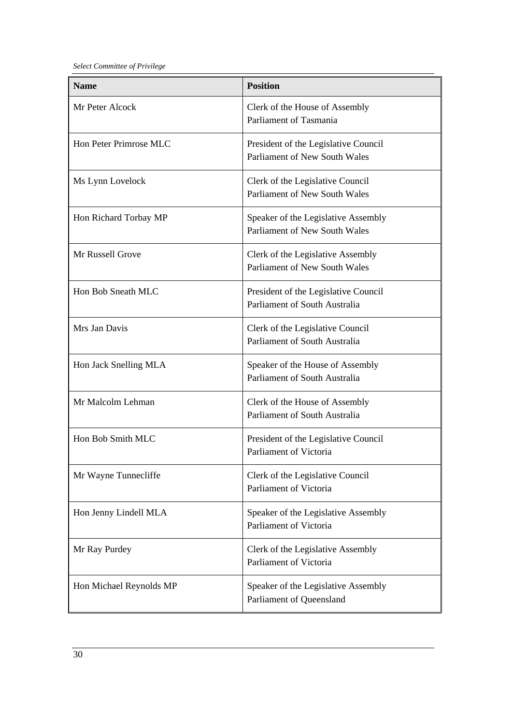*Select Committee of Privilege* 

| <b>Name</b>             | <b>Position</b>                                                              |
|-------------------------|------------------------------------------------------------------------------|
| Mr Peter Alcock         | Clerk of the House of Assembly<br>Parliament of Tasmania                     |
| Hon Peter Primrose MLC  | President of the Legislative Council<br><b>Parliament of New South Wales</b> |
| Ms Lynn Lovelock        | Clerk of the Legislative Council<br>Parliament of New South Wales            |
| Hon Richard Torbay MP   | Speaker of the Legislative Assembly<br>Parliament of New South Wales         |
| Mr Russell Grove        | Clerk of the Legislative Assembly<br><b>Parliament of New South Wales</b>    |
| Hon Bob Sneath MLC      | President of the Legislative Council<br>Parliament of South Australia        |
| Mrs Jan Davis           | Clerk of the Legislative Council<br>Parliament of South Australia            |
| Hon Jack Snelling MLA   | Speaker of the House of Assembly<br>Parliament of South Australia            |
| Mr Malcolm Lehman       | Clerk of the House of Assembly<br>Parliament of South Australia              |
| Hon Bob Smith MLC       | President of the Legislative Council<br>Parliament of Victoria               |
| Mr Wayne Tunnecliffe    | Clerk of the Legislative Council<br>Parliament of Victoria                   |
| Hon Jenny Lindell MLA   | Speaker of the Legislative Assembly<br>Parliament of Victoria                |
| Mr Ray Purdey           | Clerk of the Legislative Assembly<br>Parliament of Victoria                  |
| Hon Michael Reynolds MP | Speaker of the Legislative Assembly<br>Parliament of Queensland              |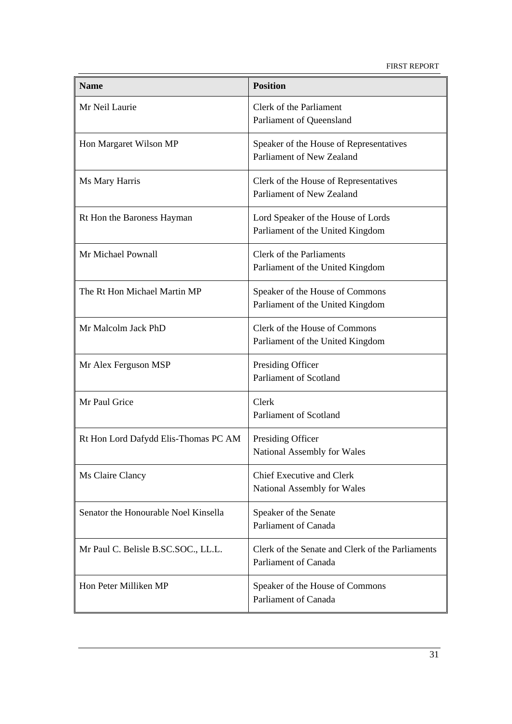FIRST REPORT

| <b>Name</b>                          | <b>Position</b>                                                          |
|--------------------------------------|--------------------------------------------------------------------------|
| Mr Neil Laurie                       | Clerk of the Parliament<br>Parliament of Queensland                      |
| Hon Margaret Wilson MP               | Speaker of the House of Representatives<br>Parliament of New Zealand     |
| Ms Mary Harris                       | Clerk of the House of Representatives<br>Parliament of New Zealand       |
| Rt Hon the Baroness Hayman           | Lord Speaker of the House of Lords<br>Parliament of the United Kingdom   |
| Mr Michael Pownall                   | Clerk of the Parliaments<br>Parliament of the United Kingdom             |
| The Rt Hon Michael Martin MP         | Speaker of the House of Commons<br>Parliament of the United Kingdom      |
| Mr Malcolm Jack PhD                  | Clerk of the House of Commons<br>Parliament of the United Kingdom        |
| Mr Alex Ferguson MSP                 | Presiding Officer<br>Parliament of Scotland                              |
| Mr Paul Grice                        | Clerk<br>Parliament of Scotland                                          |
| Rt Hon Lord Dafydd Elis-Thomas PC AM | Presiding Officer<br>National Assembly for Wales                         |
| Ms Claire Clancy                     | <b>Chief Executive and Clerk</b><br>National Assembly for Wales          |
| Senator the Honourable Noel Kinsella | Speaker of the Senate<br>Parliament of Canada                            |
| Mr Paul C. Belisle B.SC.SOC., LL.L.  | Clerk of the Senate and Clerk of the Parliaments<br>Parliament of Canada |
| Hon Peter Milliken MP                | Speaker of the House of Commons<br>Parliament of Canada                  |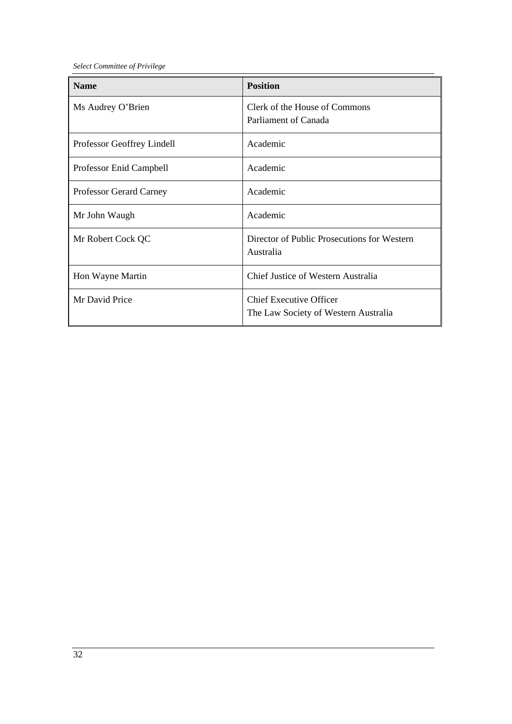*Select Committee of Privilege* 

| <b>Name</b>                | <b>Position</b>                                                        |
|----------------------------|------------------------------------------------------------------------|
| Ms Audrey O'Brien          | Clerk of the House of Commons<br>Parliament of Canada                  |
| Professor Geoffrey Lindell | Academic                                                               |
| Professor Enid Campbell    | Academic                                                               |
| Professor Gerard Carney    | Academic                                                               |
| Mr John Waugh              | Academic                                                               |
| Mr Robert Cock QC          | Director of Public Prosecutions for Western<br>Australia               |
| Hon Wayne Martin           | Chief Justice of Western Australia                                     |
| Mr David Price             | <b>Chief Executive Officer</b><br>The Law Society of Western Australia |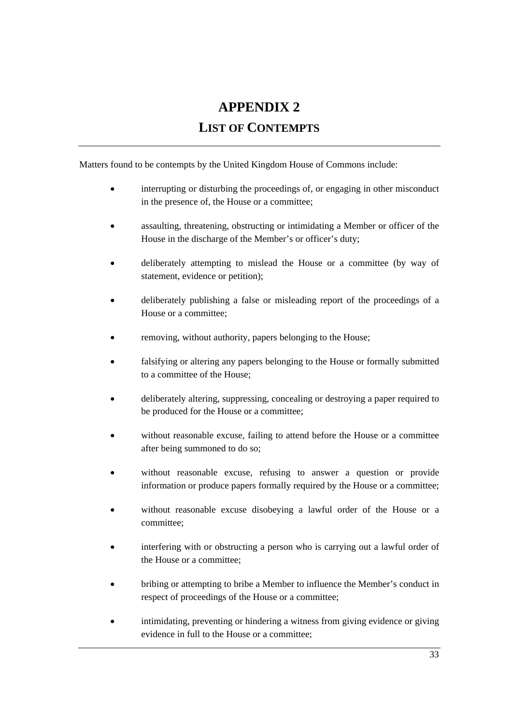# **APPENDIX 2**

## **LIST OF CONTEMPTS**

Matters found to be contempts by the United Kingdom House of Commons include:

- interrupting or disturbing the proceedings of, or engaging in other misconduct in the presence of, the House or a committee;
- assaulting, threatening, obstructing or intimidating a Member or officer of the House in the discharge of the Member's or officer's duty;
- deliberately attempting to mislead the House or a committee (by way of statement, evidence or petition);
- deliberately publishing a false or misleading report of the proceedings of a House or a committee;
- removing, without authority, papers belonging to the House;
- falsifying or altering any papers belonging to the House or formally submitted to a committee of the House;
- deliberately altering, suppressing, concealing or destroying a paper required to be produced for the House or a committee;
- without reasonable excuse, failing to attend before the House or a committee after being summoned to do so;
- without reasonable excuse, refusing to answer a question or provide information or produce papers formally required by the House or a committee;
- without reasonable excuse disobeying a lawful order of the House or a committee;
- interfering with or obstructing a person who is carrying out a lawful order of the House or a committee;
- bribing or attempting to bribe a Member to influence the Member's conduct in respect of proceedings of the House or a committee;
- intimidating, preventing or hindering a witness from giving evidence or giving evidence in full to the House or a committee;